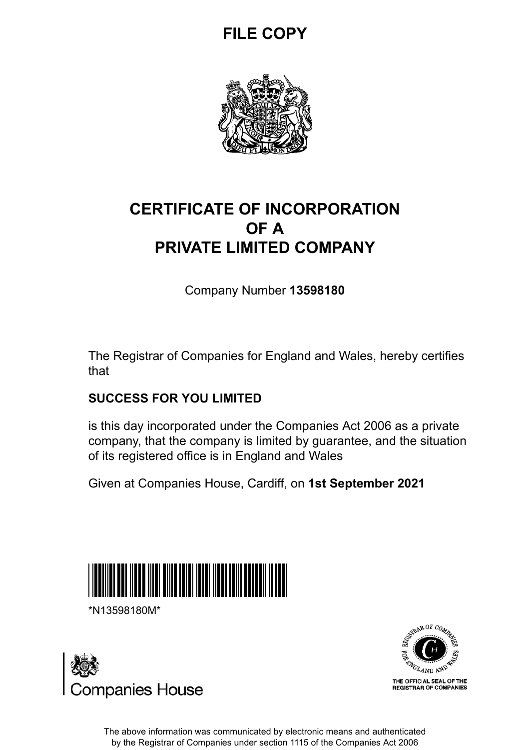# **FILE COPY**



## **CERTIFICATE OF INCORPORATION OF A PRIVATE LIMITED COMPANY**

Company Number **13598180**

The Registrar of Companies for England and Wales, hereby certifies that

#### **SUCCESS FOR YOU LIMITED**

is this day incorporated under the Companies Act 2006 as a private company, that the company is limited by guarantee, and the situation of its registered office is in England and Wales

Given at Companies House, Cardiff, on **1st September 2021**



\*N13598180M\*





The above information was communicated by electronic means and authenticated by the Registrar of Companies under section 1115 of the Companies Act 2006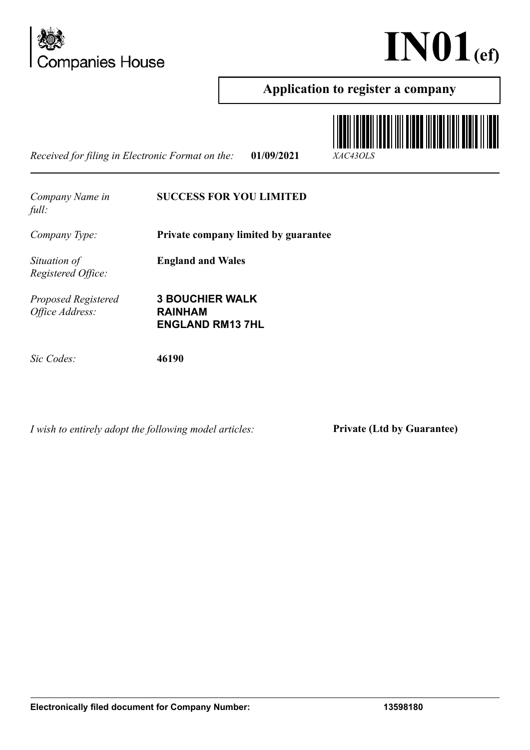



**TITI ITALIAN TARAH KANADA KEL** 

#### **Application to register a company**

*Received for filing in Electronic Format on the:* **01/09/2021** *XAC43OLS*



*I wish to entirely adopt the following model articles:* **Private (Ltd by Guarantee)**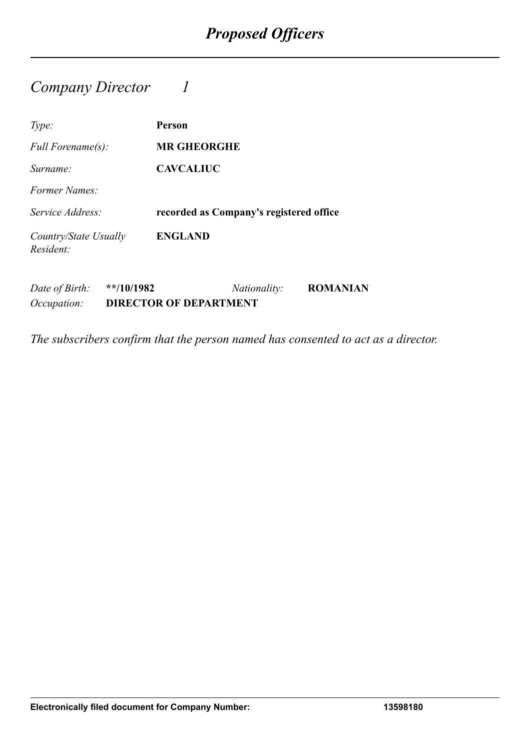### *Company Director 1*

| Type:                              | Person                                  |
|------------------------------------|-----------------------------------------|
| <i>Full Forename(s):</i>           | <b>MR GHEORGHE</b>                      |
| Surname:                           | <b>CAVCALIUC</b>                        |
| Former Names:                      |                                         |
| Service Address:                   | recorded as Company's registered office |
| Country/State Usually<br>Resident: | <b>ENGLAND</b>                          |

*Date of Birth:* **\*\*/10/1982** *Nationality:* **ROMANIAN** *Occupation:* **DIRECTOR OF DEPARTMENT**

*The subscribers confirm that the person named has consented to act as a director.*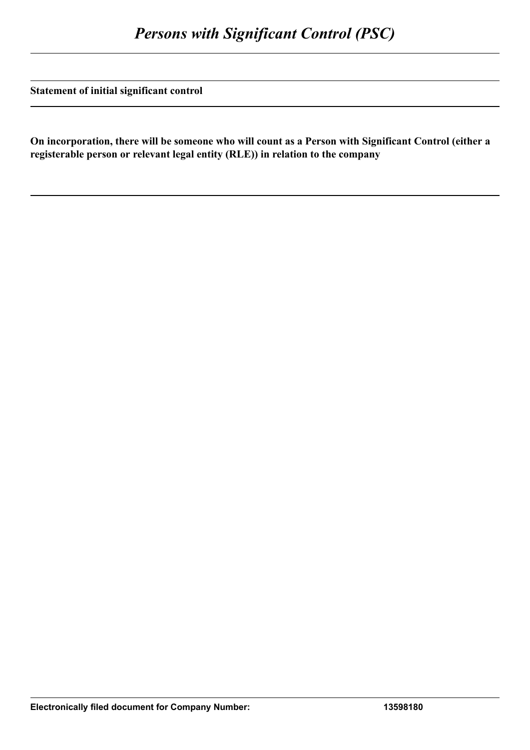**Statement of initial significant control**

**On incorporation, there will be someone who will count as a Person with Significant Control (either a registerable person or relevant legal entity (RLE)) in relation to the company**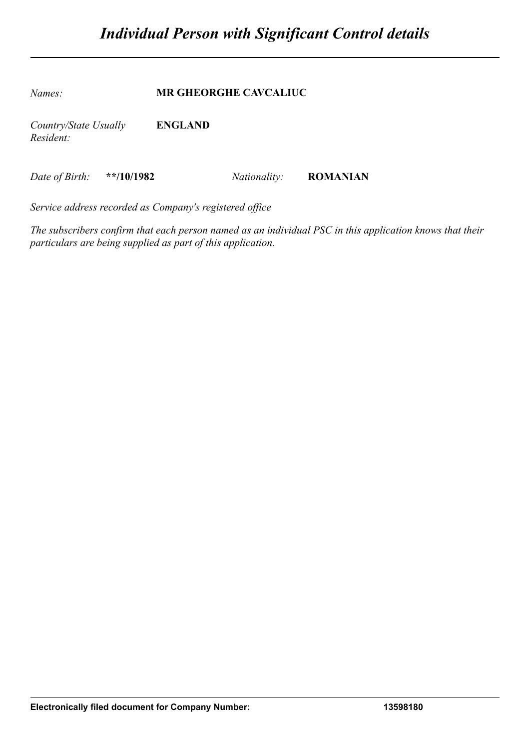*Names:* **MR GHEORGHE CAVCALIUC**

*Country/State Usually Resident:* **ENGLAND**

*Date of Birth:* **\*\*/10/1982** *Nationality:* **ROMANIAN**

*Service address recorded as Company's registered office*

*The subscribers confirm that each person named as an individual PSC in this application knows that their particulars are being supplied as part of this application.*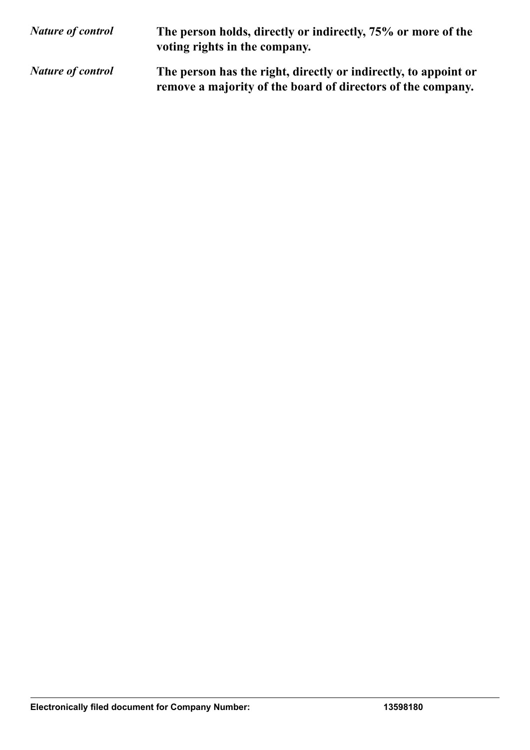| <b>Nature of control</b> | The person holds, directly or indirectly, 75% or more of the<br>voting rights in the company.                                  |
|--------------------------|--------------------------------------------------------------------------------------------------------------------------------|
| <b>Nature of control</b> | The person has the right, directly or indirectly, to appoint or<br>remove a majority of the board of directors of the company. |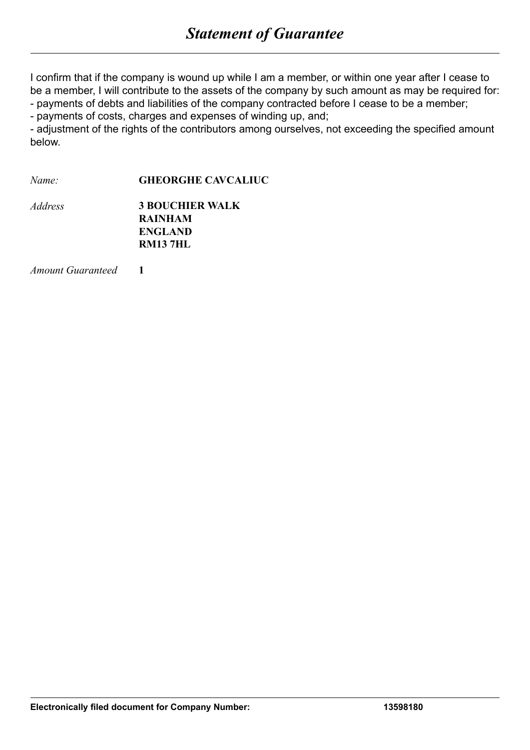I confirm that if the company is wound up while I am a member, or within one year after I cease to be a member, I will contribute to the assets of the company by such amount as may be required for: - payments of debts and liabilities of the company contracted before I cease to be a member;

- payments of costs, charges and expenses of winding up, and;

- adjustment of the rights of the contributors among ourselves, not exceeding the specified amount below.

*Name:* **GHEORGHE CAVCALIUC**

| <i>Address</i> | <b>3 BOUCHIER WALK</b> |
|----------------|------------------------|
|                | <b>RAINHAM</b>         |
|                | <b>ENGLAND</b>         |
|                | <b>RM137HL</b>         |

*Amount Guaranteed* **1**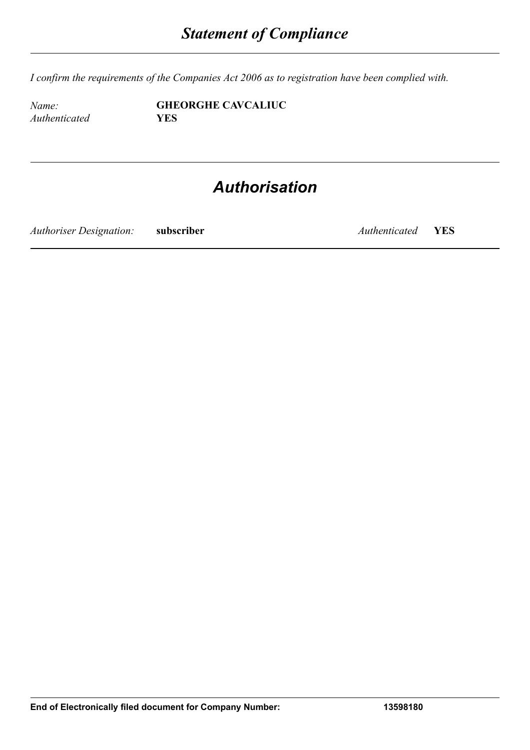*I confirm the requirements of the Companies Act 2006 as to registration have been complied with.*

*Authenticated* **YES**

*Name:* **GHEORGHE CAVCALIUC**

# *Authorisation*

*Authoriser Designation:* **subscriber** *Authenticated* **YES**